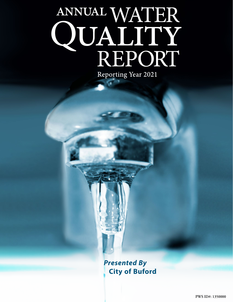# ANNUAL WATER<br>QUALITY<br>REPORT **Reporting Year 2021**

*Presented By* **City of Buford**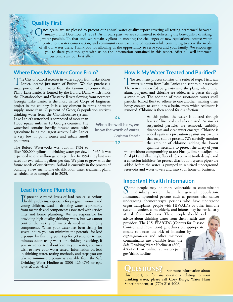#### **Quality First**

Once again, we are pleased to present our annual water quality report covering all testing performed between January 1 and December 31, 2021. As in years past, we are committed to delivering the best-quality drinking measu water possible. To that end, we remain vigilant in meeting the challenges of new regulations, source water protection, water conservation, and community outreach and education while continuing to serve the needs of all our water users. Thank you for allowing us the opportunity to serve you and your family. We encourage you to share your thoughts with us on the information contained in this report. After all, well-informed customers are our best allies.

#### **Where Does My Water Come From?**

The City of Buford receives its water supply from Lake Sidney<br>Lanier, located just north of Buford. We also purchase a<br>small parties of our nutre from the Critineat County Water small portion of our water from the Gwinnett County Water Plant. Lake Lanier is formed by the Buford Dam, which holds the Chattahoochee and Chestatee Rivers flowing from northern Georgia. Lake Lanier is the most visited Corps of Engineers project in the country. It is a key element in terms of water supply; more than 60 percent of Georgia's population receives

drinking water from the Chattahoochee system. Lake Lanier's watershed is composed of more than 1,000 square miles in 10 Georgia counties. The watershed contains heavily forested areas, with agriculture being the largest activity. Lake Lanier is very low in point source and urban runoff pollutants.

The Buford Waterworks was built in 1934 to

filter 500,000 gallons of drinking water per day. In 1965 it was expanded to one million gallons per day. In 1994 the plant was rated for two million gallons per day. We plan to grow with the future needs of our citizens. Buford is currently in the process of building a new membrane ultrafiltration water treatment plant, scheduled to be completed in 2023.

#### **Lead in Home Plumbing**

If present, elevated levels of lead can cause serious<br>health problems, especially for pregnant women and **T**f present, elevated levels of lead can cause serious young children. Lead in drinking water is primarily from materials and components associated with service lines and home plumbing. We are responsible for providing high-quality drinking water, but we cannot control the variety of materials used in plumbing components. When your water has been sitting for several hours, you can minimize the potential for lead exposure by flushing your tap for 30 seconds to two minutes before using water for drinking or cooking. If you are concerned about lead in your water, you may wish to have your water tested. Information on lead in drinking water, testing methods, and steps you can take to minimize exposure is available from the Safe Drinking Water Hotline at (800) 426-4791 or [epa.](http://epa.gov/safewater/lead) [gov/safewater/lead.](http://epa.gov/safewater/lead)

#### **How Is My Water Treated and Purified?**

The treatment process consists of a series of steps. First, raw water is drawn from Lake Lanier and sent to our reservoir.<br>The water is then fed by gravity into the glass where lines The water is then fed by gravity into the plant, where lime, alum, polymer, and chlorine are added as it passes through a static mixer. The addition of these substances causes small particles (called floc) to adhere to one another, making them heavy enough to settle into a basin, from which sediment is removed. Chlorine is then added for disinfection.

> At this point, the water is filtered through layers of fine coal and silicate sand. As smaller suspended particles are removed, turbidity disappears and clear water emerges. Chlorine is added again as a precaution against any bacteria that may still be present. (We carefully monitor the amount of chlorine, adding the lowest quantity necessary to protect the safety of your

water without compromising taste.) Finally, lime (to adjust the final pH and alkalinity), fluoride (to prevent tooth decay), and a corrosion inhibitor (to protect distribution system pipes) are added before the water is pumped to sanitized underground reservoirs and water towers and into your home or business.

#### **Important Health Information**

Some people may be more vulnerable to contaminants<br>In drinking water than the general population. Immunocompromised persons such as persons with cancer undergoing chemotherapy, persons who have undergone organ transplants, people with HIV/AIDS or other immune system disorders, some elderly, and infants may be particularly at risk from infections. These people should seek advice about drinking water from their health care providers. The U.S. EPA/CDC (Centers for Disease Control and Prevention) guidelines on appropriate means to lessen the risk of infection by *cryptosporidium* and other microbial contaminants are available from the Safe Drinking Water Hotline at (800) 426-4791 or online at [water.epa.](http://water.epa.gov/drink/hotline) [gov/drink/hotline.](http://water.epa.gov/drink/hotline)

# QUESTIONS? For more information about

this report, or for any questions relating to your drinking water, please call Cory Burge, Water Plant Superintendent, at (770) 216-4008.

 $66$ 

**When the well is dry, we know the worth of water.** *—Benjamin Franklin*

99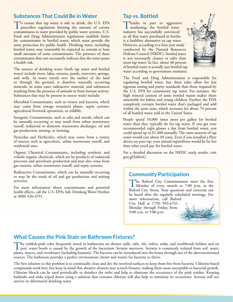#### **Substances That Could Be in Water**

To ensure that tap water is safe to drink, the U.S. EPA prescribes regulations limiting the amount of certain contaminants in water provided by public water systems. U.S. Food and Drug Administration regulations establish limits for contaminants in bottled water, which must provide the same protection for public health. Drinking water, including bottled water, may reasonably be expected to contain at least small amounts of some contaminants. The presence of these contaminants does not necessarily indicate that the water poses a health risk.

The sources of drinking water (both tap water and bottled water) include rivers, lakes, streams, ponds, reservoirs, springs, and wells. As water travels over the surface of the land or through the ground, it dissolves naturally occurring minerals, in some cases radioactive material, and substances resulting from the presence of animals or from human activity. Substances that may be present in source water include:

Microbial Contaminants, such as viruses and bacteria, which may come from sewage treatment plants, septic systems, agricultural livestock operations, or wildlife;

Inorganic Contaminants, such as salts and metals, which can be naturally occurring or may result from urban stormwater runoff, industrial or domestic wastewater discharges, oil and gas production, mining, or farming;

Pesticides and Herbicides, which may come from a variety of sources such as agriculture, urban stormwater runoff, and residential uses;

Organic Chemical Contaminants, including synthetic and volatile organic chemicals, which are by-products of industrial processes and petroleum production and may also come from gas stations, urban stormwater runoff, and septic systems;

Radioactive Contaminants, which can be naturally occurring or may be the result of oil and gas production and mining activities.

For more information about contaminants and potential health effects, call the U.S. EPA's Safe Drinking Water Hotline at (800) 426-4791.

#### **Tap vs. Bottled**

Thanks in part to aggressive I marketing, the bottled water industry has successfully convinced us all that water purchased in bottles is a healthier alternative to tap water. However, according to a four-year study conducted by the Natural Resources Defense Council (NRDC), bottled water is not necessarily cleaner or safer than most tap water. In fact, about 40 percent of bottled water is actually just bottled tap water according to government estimates.



The Food and Drug Administration is responsible for regulating bottled water, but these rules allow for less rigorous testing and purity standards than those required by the U.S. EPA for community tap water. For instance, the high mineral content of some bottled waters makes them unsuitable for babies and young children. Further, the FDA completely exempts bottled water that's packaged and sold within the same state, which accounts for about 70 percent of all bottled water sold in the United States.

People spend 10,000 times more per gallon for bottled water than they typically do for tap water. If you get your recommended eight glasses a day from bottled water, you could spend up to \$1,400 annually. The same amount of tap water would cost about 49 cents. Even if you installed a filter device on your tap, your annual expenditure would be far less than what you'd pay for bottled water.

For a detailed discussion on the NRDC study results, visit [goo.gl/Jxb6xG](http://goo.gl/Jxb6xG).

#### **Community Participation**

The Buford City Commissioners meet the first<br>Monday of every month at 7:00 p.m. at the<br>Referal City Agree Montgotter and providence Buford City Arena. Your questions and concerns can be heard after the regularly scheduled meetings. For more information, call Buford

City Hall at (770) 945-6761, Monday through Friday, from 9:00 a.m. to 5:00 p.m.



### **What Causes the Pink Stain on Bathroom Fixtures?**

The reddish-pink color frequently noted in bathrooms on shower stalls, tubs, tile, toilets, sinks, and toothbrush holders and on<br>pets' water bowls is caused by the growth of the bacterium *Serratia marcesens*. Serratia is plants, insects, and vertebrates (including humans). The bacteria can be introduced into the house through any of the abovementioned sources. The bathroom provides a perfect environment (moist and warm) for bacteria to thrive.

The best solution to this problem is to continually clean and dry the involved surfaces to keep them free from bacteria. Chlorine-based compounds work best, but keep in mind that abrasive cleaners may scratch fixtures, making them more susceptible to bacterial growth. Chlorine bleach can be used periodically to disinfect the toilet and help to eliminate the occurrence of the pink residue. Keeping bathtubs and sinks wiped down using a solution that contains chlorine will also help to minimize its occurrence. Serratia will not survive in chlorinated drinking water.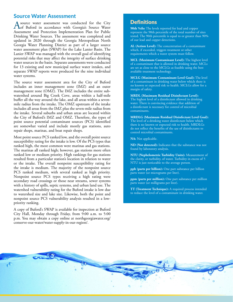#### **Source Water Assessment**

A source water assessment was conducted for the City<br>
of Buford in accordance with Georgia's Source Water<br>
Accessment and Besterian Ingles proteins Plan for Bublic Assessment and Protection Implementation Plan for Public Drinking Water Sources. The assessment was completed and updated in 2020 through the Georgia Metropolitan North Georgia Water Planning District as part of a larger source water assessment plan (SWAP) for the Lake Lanier Basin. The Lanier SWAP was managed with the overall goal of identifying potential risks that may affect the integrity of surface drinking water sources in the basin. Separate assessments were conducted for 13 existing and new municipal surface water intakes, and separate SWAP reports were produced for the nine individual water systems.

The source water assessment area for the City of Buford includes an inner management zone (IMZ) and an outer management zone (OMZ). The IMZ includes the entire subwatershed around Big Creek Cove, areas within a half-mile buffer all the way around the lake, and all areas within a sevenmile radius from the intake. The OMZ upstream of the intake includes all areas from the IMZ plus the seven-mile radius from the intake. Several suburbs and urban areas are located within the City of Buford's IMZ and OMZ. Therefore, the types of point source potential contaminant sources (PCS) identified are somewhat varied and include mostly gas stations, auto repair shops, marinas, and boat repair shops.

Most point source PCS ranked low, and the overall point source susceptibility rating for the intake is low. Of the PCS types that ranked high, the most common were marinas and gas stations. The marinas all ranked high; however, gas stations more often ranked low or medium priority. High rankings for gas stations resulted from a particular station's location in relation to water or the intake. The overall nonpoint susceptibility rating for the intake is medium. The majority of the nonpoint source PCS ranked medium, with several ranked as high priority. Nonpoint source PCS types receiving a high rating were secondary road crossings or those near streams, sewer systems with a history of spills, septic systems, and urban land use. The watershed vulnerability rating for the Buford intake is low due to watershed size and lake size. Likewise, both the point and nonpoint source PCS vulnerability analysis resulted in a lowpriority ranking.

A copy of Buford's SWAP is available for inspection at Buford City Hall, Monday through Friday, from 9:00 a.m. to 5:00 p.m. You may obtain a copy online at [northgeorgiawater.org/](http://northgeorgiawater.org/conserve-our-water/water-supply-in-our-region/) [conserve-our-water/water-supply-in-our-region/](http://northgeorgiawater.org/conserve-our-water/water-supply-in-our-region/).

#### **Definitions**

**90th %ile:** The levels reported for lead and copper represent the 90th percentile of the total number of sites tested. The 90th percentile is equal to or greater than 90% of our lead and copper detections.

**AL (Action Level):** The concentration of a contaminant which, if exceeded, triggers treatment or other requirements which a water system must follow.

**MCL (Maximum Contaminant Level):** The highest level of a contaminant that is allowed in drinking water. MCLs are set as close to the MCLGs as feasible using the best available treatment technology.

**MCLG (Maximum Contaminant Level Goal):** The level of a contaminant in drinking water below which there is no known or expected risk to health. MCLGs allow for a margin of safety.

**MRDL (Maximum Residual Disinfectant Level):** The highest level of a disinfectant allowed in drinking water. There is convincing evidence that addition of a disinfectant is necessary for control of microbial contaminants.

**MRDLG (Maximum Residual Disinfectant Level Goal):** The level of a drinking water disinfectant below which there is no known or expected risk to health. MRDLGs do not reflect the benefits of the use of disinfectants to control microbial contaminants.

**NA:** Not applicable.

**ND (Not detected):** Indicates that the substance was not found by laboratory analysis.

**NTU (Nephelometric Turbidity Units):** Measurement of the clarity, or turbidity, of water. Turbidity in excess of 5 NTU is just noticeable to the average person.

**ppb (parts per billion):** One part substance per billion parts water (or micrograms per liter).

**ppm (parts per million):** One part substance per million parts water (or milligrams per liter).

**TT (Treatment Technique):** A required process intended to reduce the level of a contaminant in drinking water.